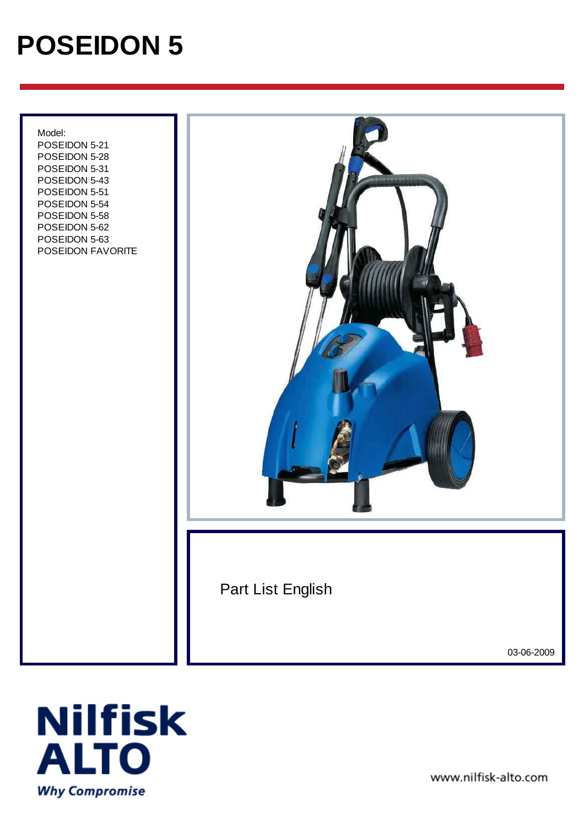# **POSEIDON 5**

 Model: POSEIDON 5-21 POSEIDON 5-28 POSEIDON 5-31 POSEIDON 5-43 POSEIDON 5-51 POSEIDON 5-54 POSEIDON 5-58 POSEIDON 5-62 POSEIDON 5-63 POSEIDON FAVORITE



Part List English

03-06-2009



www.nilfisk-alto.com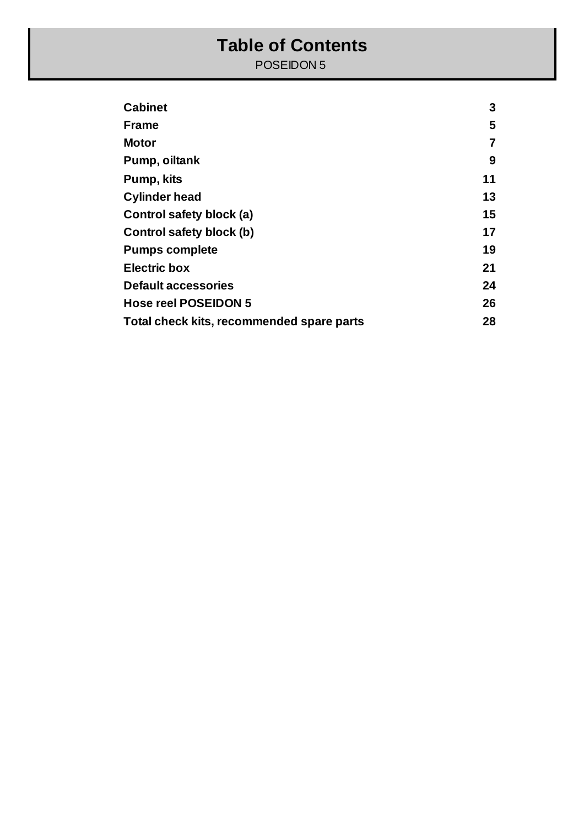#### **Table of Contents**

POSEIDON 5

| <b>Cabinet</b>                            | 3  |
|-------------------------------------------|----|
| <b>Frame</b>                              | 5  |
| Motor                                     | 7  |
| Pump, oiltank                             | 9  |
| Pump, kits                                | 11 |
| <b>Cylinder head</b>                      | 13 |
| Control safety block (a)                  | 15 |
| Control safety block (b)                  | 17 |
| <b>Pumps complete</b>                     | 19 |
| <b>Electric box</b>                       | 21 |
| <b>Default accessories</b>                | 24 |
| <b>Hose reel POSEIDON 5</b>               | 26 |
| Total check kits, recommended spare parts | 28 |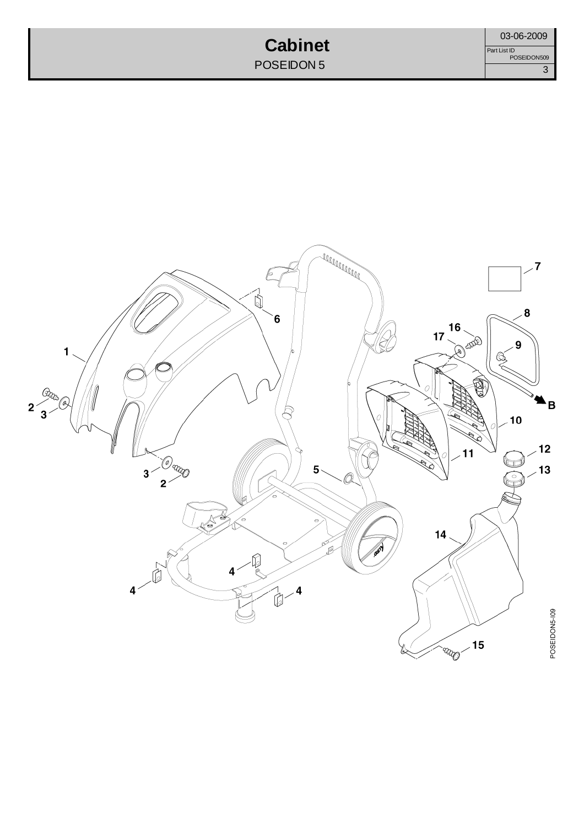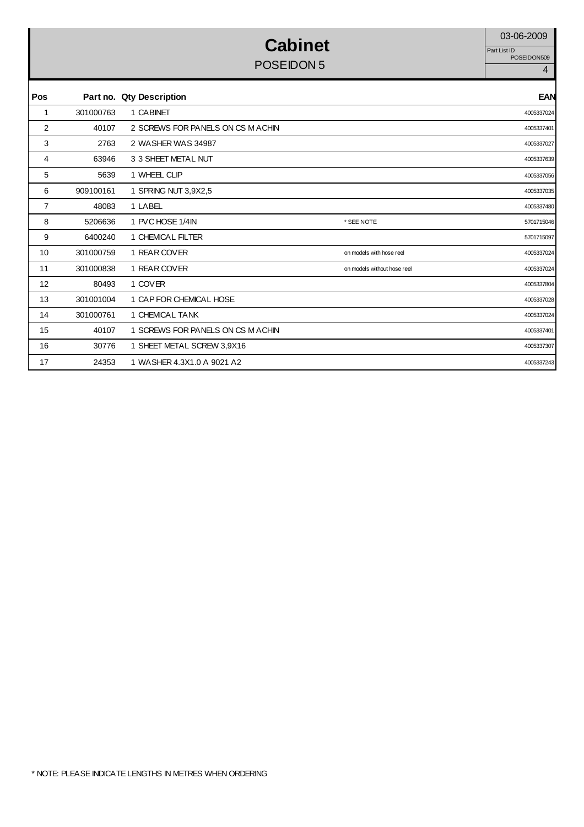#### **Cabinet** 03-06-2009 POSEIDON 5 4

Part List ID<br>POSEIDON509

| Pos            |           | Part no. Qty Description         |                             | <b>EAN</b> |
|----------------|-----------|----------------------------------|-----------------------------|------------|
| 1              | 301000763 | 1 CABINET                        |                             | 4005337024 |
| 2              | 40107     | 2 SCREWS FOR PANELS ON CS MACHIN |                             | 4005337401 |
| 3              | 2763      | 2 WASHER WAS 34987               |                             | 4005337027 |
| 4              | 63946     | 3 3 SHEET METAL NUT              |                             | 4005337639 |
| 5              | 5639      | 1 WHEEL CLIP                     |                             | 4005337056 |
| 6              | 909100161 | 1 SPRING NUT 3,9X2,5             |                             | 4005337035 |
| $\overline{7}$ | 48083     | 1 LABEL                          |                             | 4005337480 |
| 8              | 5206636   | 1 PVC HOSE 1/4IN                 | * SEE NOTE                  | 5701715046 |
| 9              | 6400240   | 1 CHEMICAL FILTER                |                             | 5701715097 |
| 10             | 301000759 | 1 REAR COVER                     | on models with hose reel    | 4005337024 |
| 11             | 301000838 | 1 REAR COVER                     | on models without hose reel | 4005337024 |
| 12             | 80493     | 1 COVER                          |                             | 4005337804 |
| 13             | 301001004 | 1 CAP FOR CHEMICAL HOSE          |                             | 4005337028 |
| 14             | 301000761 | 1 CHEMICAL TANK                  |                             | 4005337024 |
| 15             | 40107     | 1 SCREWS FOR PANELS ON CS MACHIN |                             | 4005337401 |
| 16             | 30776     | 1 SHEET METAL SCREW 3,9X16       |                             | 4005337307 |
| 17             | 24353     | 1 WASHER 4.3X1.0 A 9021 A2       |                             | 4005337243 |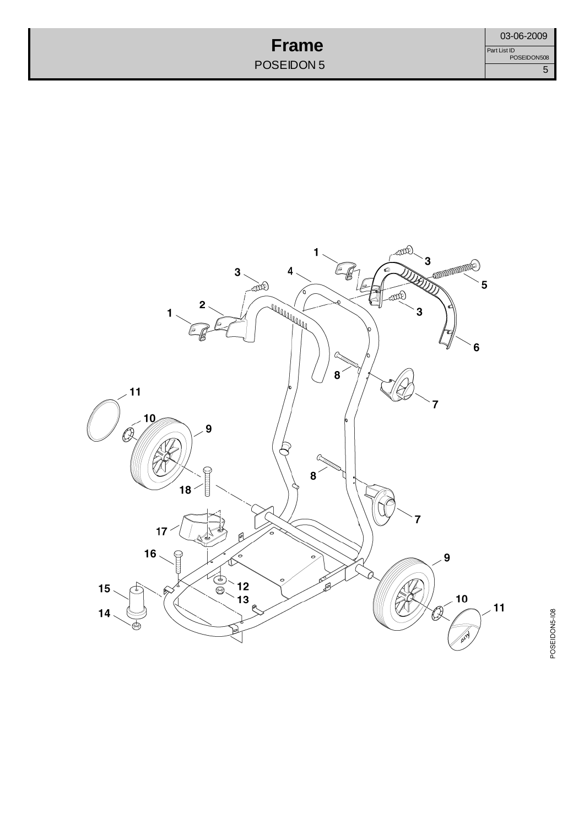#### **Frame** POSEIDON 5



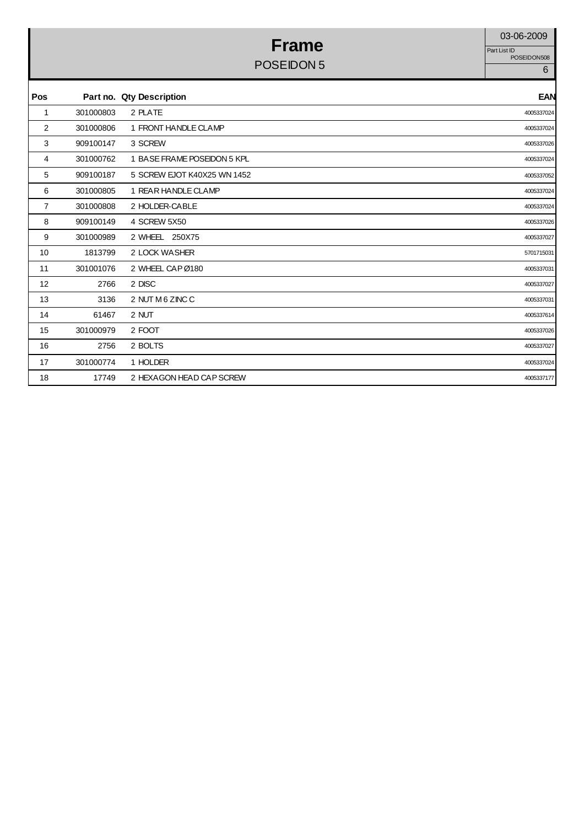#### **Frame** 03-06-2009 POSEIDON 5 6

Part List ID<br>POSEIDON508

| Pos            |           | Part no. Qty Description    | <b>EAN</b> |
|----------------|-----------|-----------------------------|------------|
| 1              | 301000803 | 2 PLATE                     | 4005337024 |
| $\overline{2}$ | 301000806 | 1 FRONT HANDLE CLAMP        | 4005337024 |
| 3              | 909100147 | 3 SCREW                     | 4005337026 |
| 4              | 301000762 | 1 BASE FRAME POSEIDON 5 KPL | 4005337024 |
| 5              | 909100187 | 5 SCREW EJOT K40X25 WN 1452 | 4005337052 |
| 6              | 301000805 | 1 REAR HANDLE CLAMP         | 4005337024 |
| 7              | 301000808 | 2 HOLDER-CABLE              | 4005337024 |
| 8              | 909100149 | 4 SCREW 5X50                | 4005337026 |
| 9              | 301000989 | 2 WHEEL 250X75              | 4005337027 |
| 10             | 1813799   | 2 LOCK WASHER               | 5701715031 |
| 11             | 301001076 | 2 WHEEL CAP Ø180            | 4005337031 |
| 12             | 2766      | 2 DISC                      | 4005337027 |
| 13             | 3136      | 2 NUT M 6 ZINC C            | 4005337031 |
| 14             | 61467     | 2 NUT                       | 4005337614 |
| 15             | 301000979 | 2 FOOT                      | 4005337026 |
| 16             | 2756      | 2 BOLTS                     | 4005337027 |
| 17             | 301000774 | 1 HOLDER                    | 4005337024 |
| 18             | 17749     | 2 HEXAGON HEAD CAP SCREW    | 4005337177 |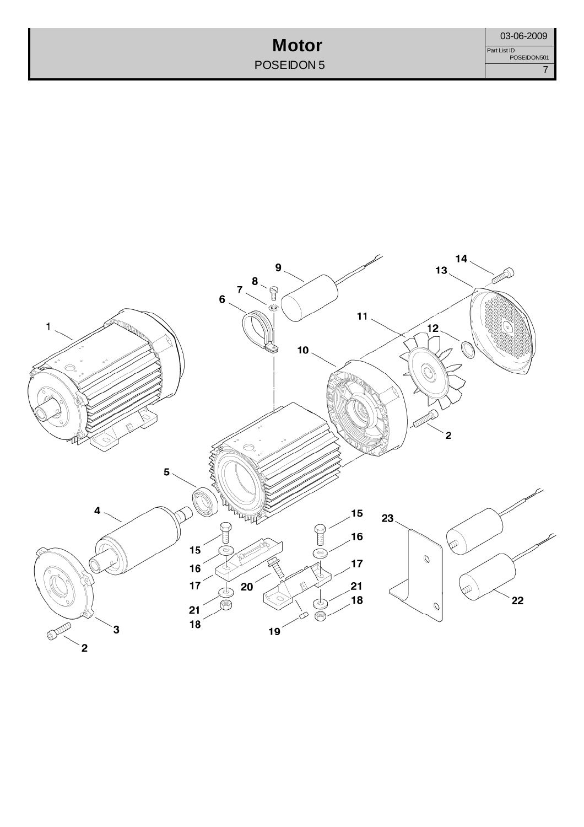**Motor** POSEIDON 5 03-06-2009<br>Jist ID<br>POSEIDON501<br>7 Part List ID POSEIDON501

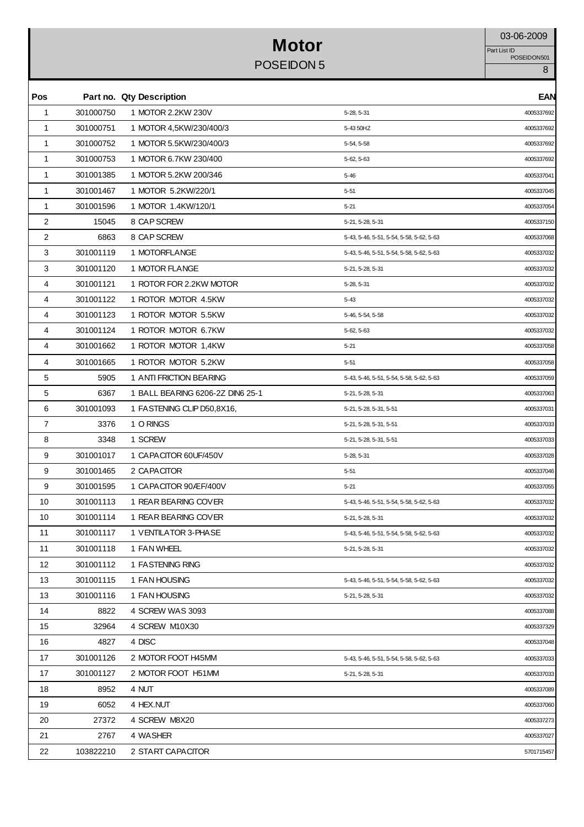#### **Motor** 03-06-2009 POSEIDON 5 8

Part List ID<br>POSEIDON501

| Pos            |           | Part no. Qty Description         |                                          | <b>EAN</b> |
|----------------|-----------|----------------------------------|------------------------------------------|------------|
| 1              | 301000750 | 1 MOTOR 2.2KW 230V               | 5-28, 5-31                               | 4005337692 |
| $\mathbf{1}$   | 301000751 | 1 MOTOR 4,5KW/230/400/3          | 5-43 50HZ                                | 4005337692 |
| 1              | 301000752 | 1 MOTOR 5.5KW/230/400/3          | 5-54, 5-58                               | 4005337692 |
| $\mathbf{1}$   | 301000753 | 1 MOTOR 6.7KW 230/400            | 5-62, 5-63                               | 4005337692 |
| $\mathbf{1}$   | 301001385 | 1 MOTOR 5.2KW 200/346            | $5 - 46$                                 | 4005337041 |
| 1              | 301001467 | 1 MOTOR 5.2KW/220/1              | $5 - 51$                                 | 4005337045 |
| 1              | 301001596 | 1 MOTOR 1.4KW/120/1              | $5 - 21$                                 | 4005337054 |
| $\overline{2}$ | 15045     | 8 CAP SCREW                      | 5-21, 5-28, 5-31                         | 4005337150 |
| 2              | 6863      | 8 CAP SCREW                      | 5-43, 5-46, 5-51, 5-54, 5-58, 5-62, 5-63 | 4005337068 |
| 3              | 301001119 | 1 MOTORFLANGE                    | 5-43, 5-46, 5-51, 5-54, 5-58, 5-62, 5-63 | 4005337032 |
| 3              | 301001120 | 1 MOTOR FLANGE                   | 5-21, 5-28, 5-31                         | 4005337032 |
| 4              | 301001121 | 1 ROTOR FOR 2.2KW MOTOR          | 5-28, 5-31                               | 4005337032 |
| 4              | 301001122 | 1 ROTOR MOTOR 4.5KW              | $5 - 43$                                 | 4005337032 |
| 4              | 301001123 | 1 ROTOR MOTOR 5.5KW              | 5-46, 5-54, 5-58                         | 4005337032 |
| 4              | 301001124 | 1 ROTOR MOTOR 6.7KW              | 5-62, 5-63                               | 4005337032 |
| 4              | 301001662 | 1 ROTOR MOTOR 1,4KW              | $5 - 21$                                 | 4005337058 |
| 4              | 301001665 | 1 ROTOR MOTOR 5.2KW              | $5 - 51$                                 | 4005337058 |
| 5              | 5905      | 1 ANTI FRICTION BEARING          | 5-43, 5-46, 5-51, 5-54, 5-58, 5-62, 5-63 | 4005337059 |
| 5              | 6367      | 1 BALL BEARING 6206-2Z DIN6 25-1 | 5-21, 5-28, 5-31                         | 4005337063 |
| 6              | 301001093 | 1 FASTENING CLIP D50,8X16,       | 5-21, 5-28, 5-31, 5-51                   | 4005337031 |
| 7              | 3376      | 1 O RINGS                        | 5-21, 5-28, 5-31, 5-51                   | 4005337033 |
| 8              | 3348      | 1 SCREW                          | 5-21, 5-28, 5-31, 5-51                   | 4005337033 |
| 9              | 301001017 | 1 CAPACITOR 60UF/450V            | 5-28, 5-31                               | 4005337028 |
| 9              | 301001465 | 2 CAPACITOR                      | $5 - 51$                                 | 4005337046 |
| 9              | 301001595 | 1 CAPACITOR 90 ÆF/400 V          | $5 - 21$                                 | 4005337055 |
| 10             | 301001113 | 1 REAR BEARING COVER             | 5-43, 5-46, 5-51, 5-54, 5-58, 5-62, 5-63 | 4005337032 |
| 10             | 301001114 | 1 REAR BEARING COVER             | 5-21, 5-28, 5-31                         | 4005337032 |
| 11             | 301001117 | 1 VENTILATOR 3-PHASE             | 5-43, 5-46, 5-51, 5-54, 5-58, 5-62, 5-63 | 4005337032 |
| 11             | 301001118 | 1 FAN WHEEL                      | 5-21, 5-28, 5-31                         | 4005337032 |
| 12             | 301001112 | 1 FASTENING RING                 |                                          | 4005337032 |
| 13             | 301001115 | 1 FAN HOUSING                    | 5-43, 5-46, 5-51, 5-54, 5-58, 5-62, 5-63 | 4005337032 |
| 13             | 301001116 | 1 FAN HOUSING                    | 5-21, 5-28, 5-31                         | 4005337032 |
| 14             | 8822      | 4 SCREW WAS 3093                 |                                          | 4005337088 |
| 15             | 32964     | 4 SCREW M10X30                   |                                          | 4005337329 |
| 16             | 4827      | 4 DISC                           |                                          | 4005337048 |
| 17             | 301001126 | 2 MOTOR FOOT H45MM               | 5-43, 5-46, 5-51, 5-54, 5-58, 5-62, 5-63 | 4005337033 |
| 17             | 301001127 | 2 MOTOR FOOT H51MM               | 5-21, 5-28, 5-31                         | 4005337033 |
| 18             | 8952      | 4 NUT                            |                                          | 4005337089 |
| 19             | 6052      | 4 HEX.NUT                        |                                          | 4005337060 |
| 20             | 27372     | 4 SCREW M8X20                    |                                          | 4005337273 |
| 21             | 2767      | 4 WASHER                         |                                          | 4005337027 |
| 22             | 103822210 | 2 START CAPACITOR                |                                          | 5701715457 |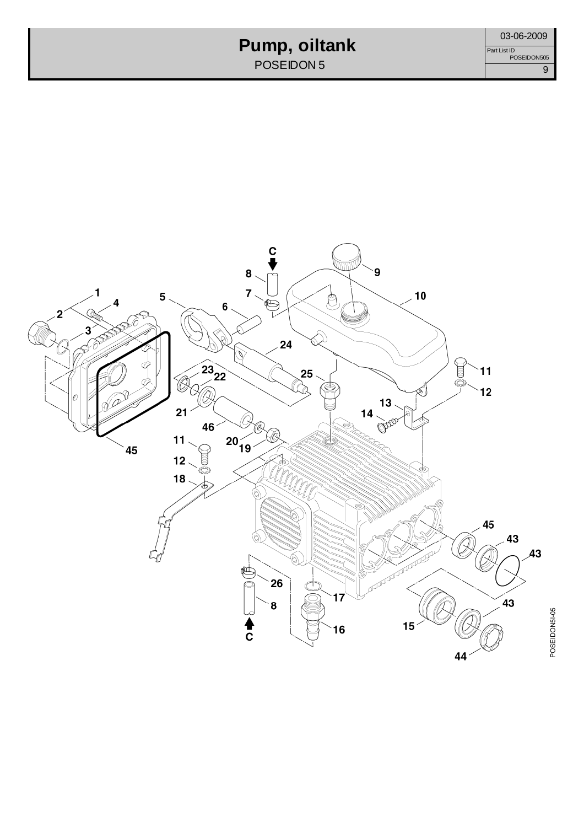## **Pump, oiltank**

POSEIDON 5

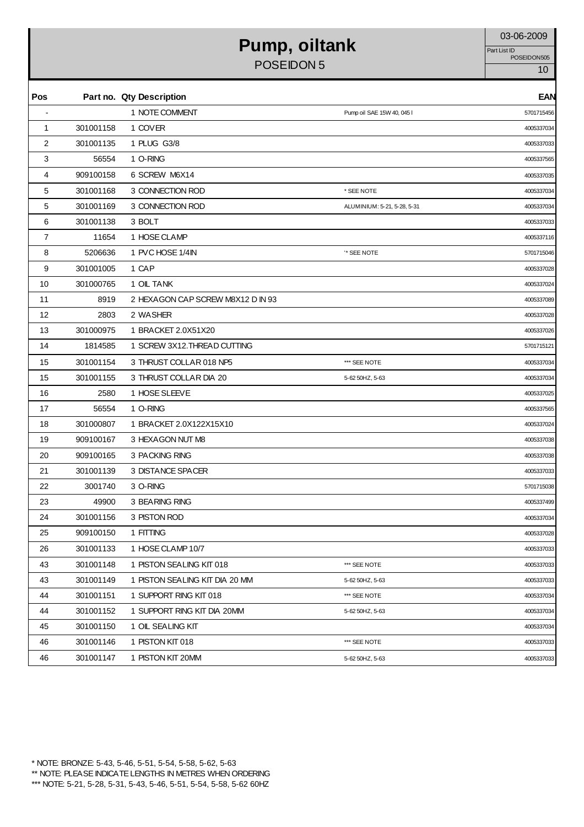## **Pump, oiltank** 03-06-2009

POSEIDON 5 10

Part List ID<br>POSEIDON505

| Pos            |           | Part no. Qty Description          |                             | <b>EAN</b> |
|----------------|-----------|-----------------------------------|-----------------------------|------------|
|                |           | 1 NOTE COMMENT                    | Pump oil SAE 15W 40, 045 I  | 5701715456 |
| $\mathbf{1}$   | 301001158 | 1 COVER                           |                             | 4005337034 |
| $\overline{2}$ | 301001135 | 1 PLUG G3/8                       |                             | 4005337033 |
| 3              | 56554     | 1 O-RING                          |                             | 4005337565 |
| 4              | 909100158 | 6 SCREW M6X14                     |                             | 4005337035 |
| 5              | 301001168 | 3 CONNECTION ROD                  | * SEE NOTE                  | 4005337034 |
| 5              | 301001169 | 3 CONNECTION ROD                  | ALUMINIUM: 5-21, 5-28, 5-31 | 4005337034 |
| 6              | 301001138 | 3 BOLT                            |                             | 4005337033 |
| $\overline{7}$ | 11654     | 1 HOSE CLAMP                      |                             | 4005337116 |
| 8              | 5206636   | 1 PVC HOSE 1/4IN                  | '* SEE NOTE                 | 5701715046 |
| 9              | 301001005 | 1 CAP                             |                             | 4005337028 |
| 10             | 301000765 | 1 OIL TANK                        |                             | 4005337024 |
| 11             | 8919      | 2 HEXAGON CAP SCREW M8X12 D IN 93 |                             | 4005337089 |
| 12             | 2803      | 2 WASHER                          |                             | 4005337028 |
| 13             | 301000975 | 1 BRACKET 2.0X51X20               |                             | 4005337026 |
| 14             | 1814585   | 1 SCREW 3X12. THREAD CUTTING      |                             | 5701715121 |
| 15             | 301001154 | 3 THRUST COLLAR 018 NP5           | *** SEE NOTE                | 4005337034 |
| 15             | 301001155 | 3 THRUST COLLAR DIA 20            | 5-62 50HZ, 5-63             | 4005337034 |
| 16             | 2580      | 1 HOSE SLEEVE                     |                             | 4005337025 |
| 17             | 56554     | 1 O-RING                          |                             | 4005337565 |
| 18             | 301000807 | 1 BRACKET 2.0X122X15X10           |                             | 4005337024 |
| 19             | 909100167 | 3 HEXAGON NUT M8                  |                             | 4005337038 |
| 20             | 909100165 | 3 PACKING RING                    |                             | 4005337038 |
| 21             | 301001139 | 3 DISTANCE SPACER                 |                             | 4005337033 |
| 22             | 3001740   | 3 O-RING                          |                             | 5701715038 |
| 23             | 49900     | 3 BEARING RING                    |                             | 4005337499 |
| 24             | 301001156 | 3 PISTON ROD                      |                             | 4005337034 |
| 25             | 909100150 | 1 FITTING                         |                             | 4005337028 |
| 26             | 301001133 | 1 HOSE CLAMP 10/7                 |                             | 4005337033 |
| 43             | 301001148 | 1 PISTON SEALING KIT 018          | *** SEE NOTE                | 4005337033 |
| 43             | 301001149 | 1 PISTON SEALING KIT DIA 20 MM    | 5-62 50HZ, 5-63             | 4005337033 |
| 44             | 301001151 | 1 SUPPORT RING KIT 018            | *** SEE NOTE                | 4005337034 |
| 44             | 301001152 | 1 SUPPORT RING KIT DIA 20MM       | 5-62 50HZ, 5-63             | 4005337034 |
| 45             | 301001150 | 1 OIL SEALING KIT                 |                             | 4005337034 |
| 46             | 301001146 | 1 PISTON KIT 018                  | *** SEE NOTE                | 4005337033 |
| 46             | 301001147 | 1 PISTON KIT 20MM                 | 5-62 50HZ, 5-63             | 4005337033 |
|                |           |                                   |                             |            |

\* NOTE: BRONZE: 5-43, 5-46, 5-51, 5-54, 5-58, 5-62, 5-63 \*\* NOTE: PLEASE INDICATE LENGTHS IN METRES WHEN ORDERING \*\*\* NOTE: 5-21, 5-28, 5-31, 5-43, 5-46, 5-51, 5-54, 5-58, 5-62 60HZ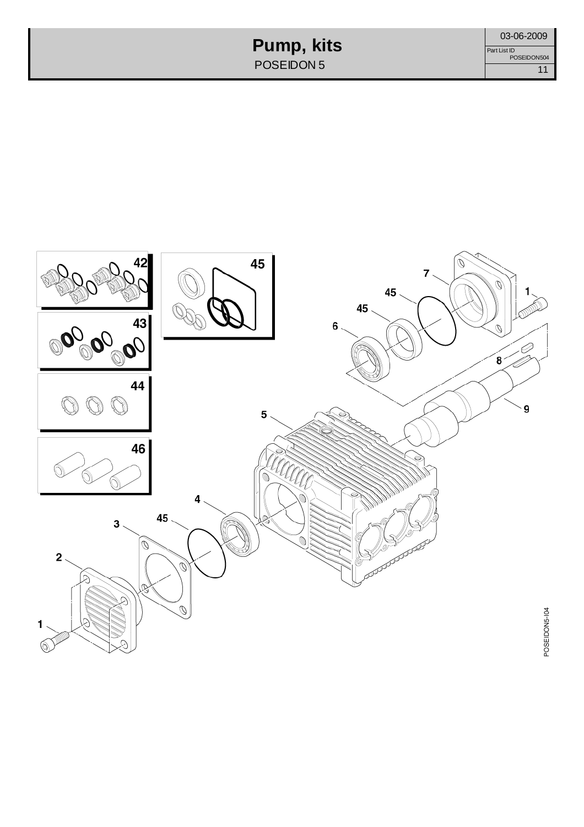**Pump, kits** POSEIDON 5

03-06-2009 11 Part List ID POSEIDON504

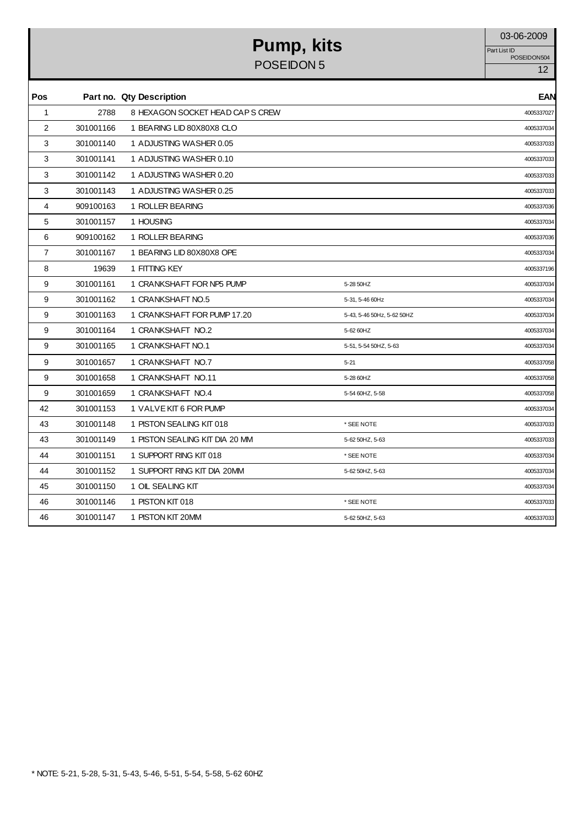#### **Pump, kits** 03-06-2009 POSEIDON 5

Part List ID<br>POSEIDON504

| Pos            |           | Part no. Qty Description        |                            | <b>EAN</b> |
|----------------|-----------|---------------------------------|----------------------------|------------|
| $\mathbf{1}$   | 2788      | 8 HEXAGON SOCKET HEAD CAPS CREW |                            | 4005337027 |
| 2              | 301001166 | 1 BEARING LID 80X80X8 CLO       |                            | 4005337034 |
| 3              | 301001140 | 1 ADJUSTING WASHER 0.05         |                            | 4005337033 |
| 3              | 301001141 | 1 ADJUSTING WASHER 0.10         |                            | 4005337033 |
| 3              | 301001142 | 1 ADJUSTING WASHER 0.20         |                            | 4005337033 |
| 3              | 301001143 | 1 ADJUSTING WASHER 0.25         |                            | 4005337033 |
| 4              | 909100163 | 1 ROLLER BEARING                |                            | 4005337036 |
| 5              | 301001157 | 1 HOUSING                       |                            | 4005337034 |
| 6              | 909100162 | 1 ROLLER BEARING                |                            | 4005337036 |
| $\overline{7}$ | 301001167 | 1 BEARING LID 80X80X8 OPE       |                            | 4005337034 |
| 8              | 19639     | 1 FITTING KEY                   |                            | 4005337196 |
| 9              | 301001161 | 1 CRANKSHAFT FOR NP5 PUMP       | 5-28 50HZ                  | 4005337034 |
| 9              | 301001162 | 1 CRANKSHAFT NO.5               | 5-31, 5-46 60Hz            | 4005337034 |
| 9              | 301001163 | 1 CRANKSHAFT FOR PUMP 17.20     | 5-43, 5-46 50Hz, 5-62 50HZ | 4005337034 |
| 9              | 301001164 | 1 CRANKSHAFT NO.2               | 5-62 60HZ                  | 4005337034 |
| 9              | 301001165 | 1 CRANKSHAFT NO.1               | 5-51, 5-54 50HZ, 5-63      | 4005337034 |
| 9              | 301001657 | 1 CRANKSHAFT NO.7               | $5 - 21$                   | 4005337058 |
| 9              | 301001658 | 1 CRANKSHAFT NO.11              | 5-28 60HZ                  | 4005337058 |
| 9              | 301001659 | 1 CRANKSHAFT NO.4               | 5-54 60HZ, 5-58            | 4005337058 |
| 42             | 301001153 | 1 VALVE KIT 6 FOR PUMP          |                            | 4005337034 |
| 43             | 301001148 | 1 PISTON SEALING KIT 018        | * SEE NOTE                 | 4005337033 |
| 43             | 301001149 | 1 PISTON SEALING KIT DIA 20 MM  | 5-62 50HZ, 5-63            | 4005337033 |
| 44             | 301001151 | 1 SUPPORT RING KIT 018          | * SEE NOTE                 | 4005337034 |
| 44             | 301001152 | 1 SUPPORT RING KIT DIA 20MM     | 5-62 50HZ, 5-63            | 4005337034 |
| 45             | 301001150 | 1 OIL SEALING KIT               |                            | 4005337034 |
| 46             | 301001146 | 1 PISTON KIT 018                | * SEE NOTE                 | 4005337033 |
| 46             | 301001147 | 1 PISTON KIT 20MM               | 5-62 50HZ, 5-63            | 4005337033 |

\* NOTE: 5-21, 5-28, 5-31, 5-43, 5-46, 5-51, 5-54, 5-58, 5-62 60HZ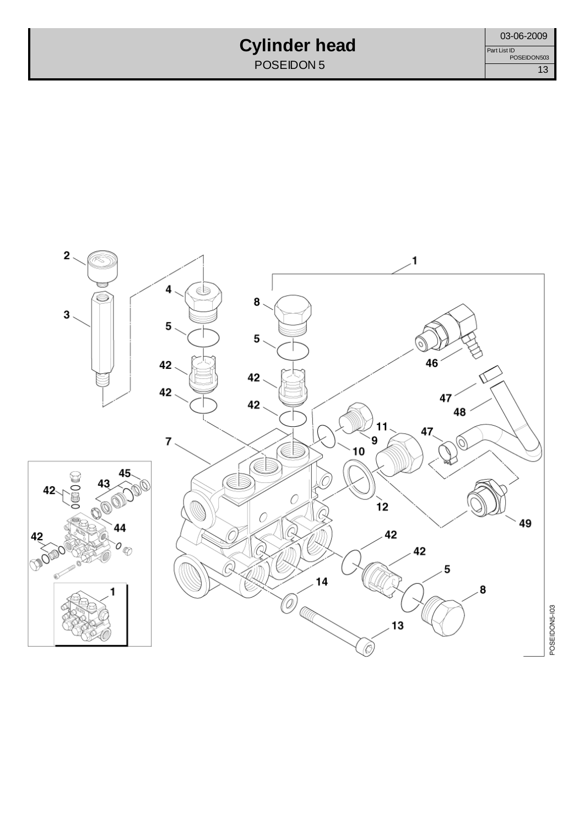## **Cylinder head**

POSEIDON<sub>5</sub>



POSEIDON5-103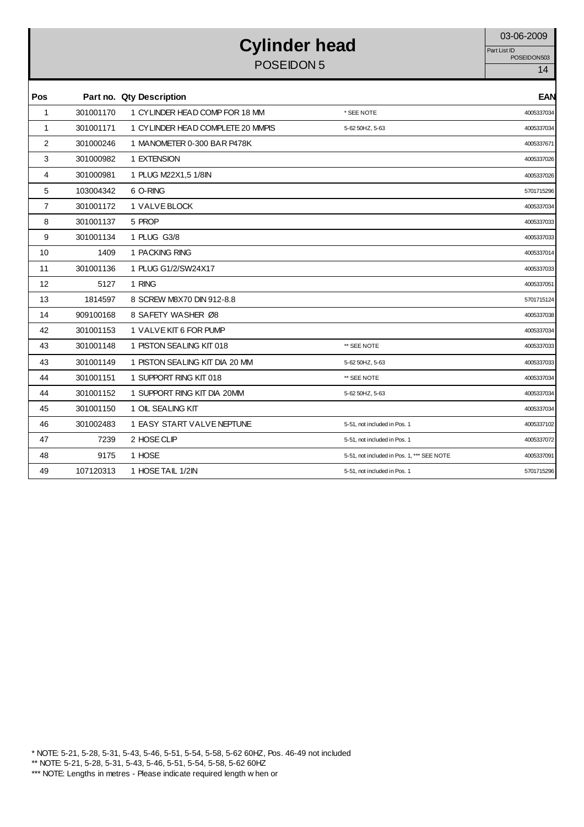## **Cylinder head** 03-06-2009

POSEIDON 5 14

Part List ID<br>POSEIDON503

| Pos               |           | Part no. Qty Description          |                                            | <b>EAN</b> |
|-------------------|-----------|-----------------------------------|--------------------------------------------|------------|
| $\mathbf{1}$      | 301001170 | 1 CYLINDER HEAD COMP FOR 18 MM    | * SEE NOTE                                 | 4005337034 |
| 1                 | 301001171 | 1 CYLINDER HEAD COMPLETE 20 MMPIS | 5-62 50HZ, 5-63                            | 4005337034 |
| 2                 | 301000246 | 1 MANOMETER 0-300 BAR P478K       |                                            | 4005337671 |
| 3                 | 301000982 | 1 EXTENSION                       |                                            | 4005337026 |
| 4                 | 301000981 | 1 PLUG M22X1,5 1/8IN              |                                            | 4005337026 |
| 5                 | 103004342 | 6 O-RING                          |                                            | 5701715296 |
| $\overline{7}$    | 301001172 | 1 VALVE BLOCK                     |                                            | 4005337034 |
| 8                 | 301001137 | 5 PROP                            |                                            | 4005337033 |
| 9                 | 301001134 | 1 PLUG G3/8                       |                                            | 4005337033 |
| 10                | 1409      | 1 PACKING RING                    |                                            | 4005337014 |
| 11                | 301001136 | 1 PLUG G1/2/SW24X17               |                                            | 4005337033 |
| $12 \overline{ }$ | 5127      | 1 RING                            |                                            | 4005337051 |
| 13                | 1814597   | 8 SCREW M8X70 DIN 912-8.8         |                                            | 5701715124 |
| 14                | 909100168 | 8 SAFETY WASHER Ø8                |                                            | 4005337038 |
| 42                | 301001153 | 1 VALVE KIT 6 FOR PUMP            |                                            | 4005337034 |
| 43                | 301001148 | 1 PISTON SEALING KIT 018          | ** SEE NOTE                                | 4005337033 |
| 43                | 301001149 | 1 PISTON SEALING KIT DIA 20 MM    | 5-62 50HZ, 5-63                            | 4005337033 |
| 44                | 301001151 | 1 SUPPORT RING KIT 018            | ** SEE NOTE                                | 4005337034 |
| 44                | 301001152 | 1 SUPPORT RING KIT DIA 20MM       | 5-62 50HZ, 5-63                            | 4005337034 |
| 45                | 301001150 | 1 OIL SEALING KIT                 |                                            | 4005337034 |
| 46                | 301002483 | 1 EASY START VALVE NEPTUNE        | 5-51, not included in Pos. 1               | 4005337102 |
| 47                | 7239      | 2 HOSE CLIP                       | 5-51, not included in Pos. 1               | 4005337072 |
| 48                | 9175      | 1 HOSE                            | 5-51, not included in Pos. 1, *** SEE NOTE | 4005337091 |
| 49                | 107120313 | 1 HOSE TAIL 1/2IN                 | 5-51, not included in Pos. 1               | 5701715296 |

\* NOTE: 5-21, 5-28, 5-31, 5-43, 5-46, 5-51, 5-54, 5-58, 5-62 60HZ, Pos. 46-49 not included

\*\* NOTE: 5-21, 5-28, 5-31, 5-43, 5-46, 5-51, 5-54, 5-58, 5-62 60HZ

<sup>\*\*\*</sup> NOTE: Lengths in metres - Please indicate required length w hen or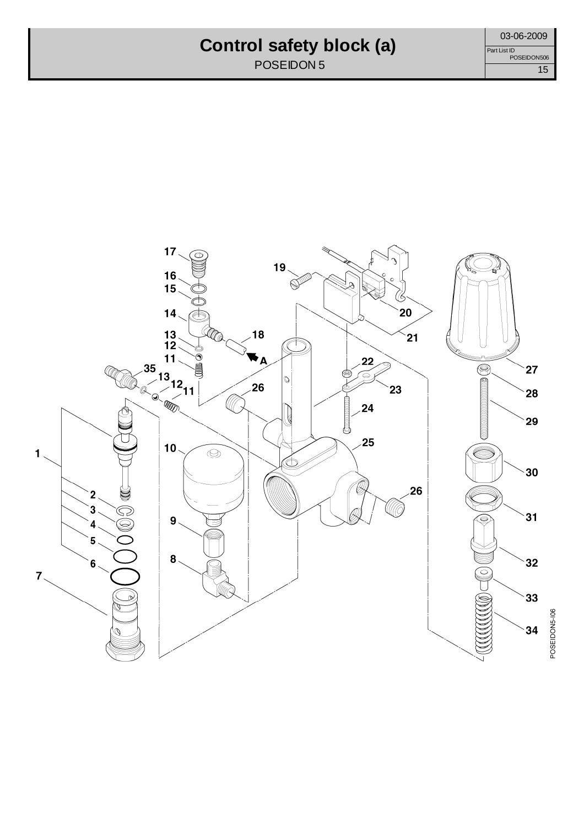#### **Control safety block (a)**

POSEIDON 5

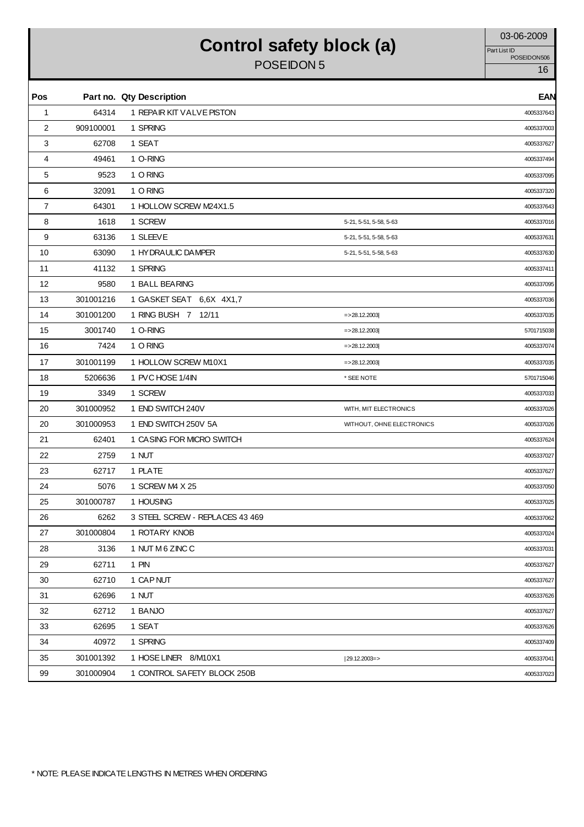## Control safety block (a) **Control** Safety block (a)

POSEIDON 5 Part List ID<br>POSEIDON506

| Pos          |           | Part no. Qty Description        |                           | <b>EAN</b> |
|--------------|-----------|---------------------------------|---------------------------|------------|
| $\mathbf{1}$ | 64314     | 1 REPAIR KIT VALVE PISTON       |                           | 4005337643 |
| 2            | 909100001 | 1 SPRING                        |                           | 4005337003 |
| 3            | 62708     | 1 SEAT                          |                           | 4005337627 |
| 4            | 49461     | 1 O-RING                        |                           | 4005337494 |
| 5            | 9523      | 1 O RING                        |                           | 4005337095 |
| 6            | 32091     | 1 O RING                        |                           | 4005337320 |
| 7            | 64301     | 1 HOLLOW SCREW M24X1.5          |                           | 4005337643 |
| 8            | 1618      | 1 SCREW                         | 5-21, 5-51, 5-58, 5-63    | 4005337016 |
| 9            | 63136     | 1 SLEEVE                        | 5-21, 5-51, 5-58, 5-63    | 4005337631 |
| 10           | 63090     | 1 HYDRAULIC DAMPER              | 5-21, 5-51, 5-58, 5-63    | 4005337630 |
| 11           | 41132     | 1 SPRING                        |                           | 4005337411 |
| 12           | 9580      | 1 BALL BEARING                  |                           | 4005337095 |
| 13           | 301001216 | 1 GASKET SEAT 6.6X 4X1,7        |                           | 4005337036 |
| 14           | 301001200 | 1 RING BUSH 7 12/11             | $=$ > 28.12.2003          | 4005337035 |
| 15           | 3001740   | 1 O-RING                        | $=$ > 28.12.2003          | 5701715038 |
| 16           | 7424      | 1 O RING                        | $=$ > 28.12.2003          | 4005337074 |
| 17           | 301001199 | 1 HOLLOW SCREW M10X1            | $=$ > 28.12.2003          | 4005337035 |
| 18           | 5206636   | 1 PVC HOSE 1/4IN                | * SEE NOTE                | 5701715046 |
| 19           | 3349      | 1 SCREW                         |                           | 4005337033 |
| 20           | 301000952 | 1 END SWITCH 240V               | WITH, MIT ELECTRONICS     | 4005337026 |
| 20           | 301000953 | 1 END SWITCH 250V 5A            | WITHOUT, OHNE ELECTRONICS | 4005337026 |
| 21           | 62401     | 1 CASING FOR MICRO SWITCH       |                           | 4005337624 |
| 22           | 2759      | 1 NUT                           |                           | 4005337027 |
| 23           | 62717     | 1 PLATE                         |                           | 4005337627 |
| 24           | 5076      | 1 SCREW M4 X 25                 |                           | 4005337050 |
| 25           | 301000787 | 1 HOUSING                       |                           | 4005337025 |
| 26           | 6262      | 3 STEEL SCREW - REPLACES 43 469 |                           | 4005337062 |
| 27           | 301000804 | 1 ROTARY KNOB                   |                           | 4005337024 |
| 28           | 3136      | 1 NUT M 6 ZINC C                |                           | 4005337031 |
| 29           | 62711     | 1 PIN                           |                           | 4005337627 |
| 30           | 62710     | 1 CAP NUT                       |                           | 4005337627 |
| 31           | 62696     | 1 NUT                           |                           | 4005337626 |
| 32           | 62712     | 1 BANJO                         |                           | 4005337627 |
| 33           | 62695     | 1 SEAT                          |                           | 4005337626 |
| 34           | 40972     | 1 SPRING                        |                           | 4005337409 |
| 35           | 301001392 | 1 HOSE LINER 8/M10X1            | $ 29.12.2003=$            | 4005337041 |
| 99           | 301000904 | 1 CONTROL SAFETY BLOCK 250B     |                           | 4005337023 |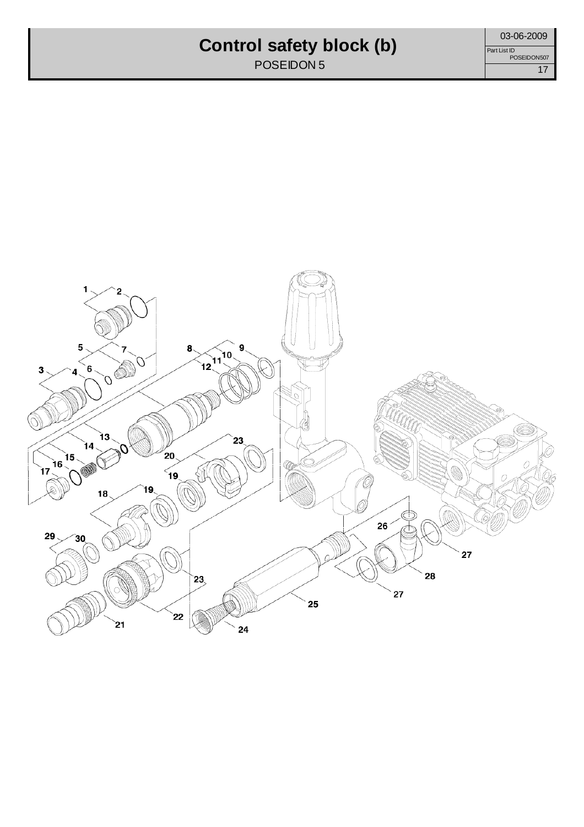## **Control safety block (b)**

POSEIDON 5

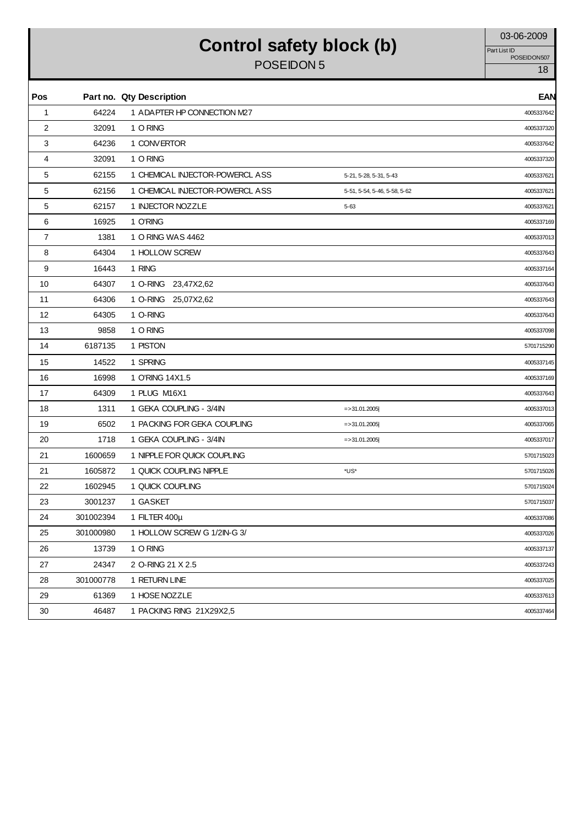## Control safety block (b) 03-06-2009

POSEIDON 5

Part List ID<br>POSEIDON507

| Pos |           | Part no. Qty Description        |                              | <b>EAN</b> |
|-----|-----------|---------------------------------|------------------------------|------------|
| 1   | 64224     | 1 ADAPTER HP CONNECTION M27     |                              | 4005337642 |
| 2   | 32091     | 1 O RING                        |                              | 4005337320 |
| 3   | 64236     | 1 CONVERTOR                     |                              | 4005337642 |
| 4   | 32091     | 1 O RING                        |                              | 4005337320 |
| 5   | 62155     | 1 CHEMICAL INJECTOR-POWERCL ASS | 5-21, 5-28, 5-31, 5-43       | 4005337621 |
| 5   | 62156     | 1 CHEMICAL INJECTOR-POWERCL ASS | 5-51, 5-54, 5-46, 5-58, 5-62 | 4005337621 |
| 5   | 62157     | 1 INJECTOR NOZZLE               | $5 - 63$                     | 4005337621 |
| 6   | 16925     | 1 O'RING                        |                              | 4005337169 |
| 7   | 1381      | 1 O RING WAS 4462               |                              | 4005337013 |
| 8   | 64304     | 1 HOLLOW SCREW                  |                              | 4005337643 |
| 9   | 16443     | 1 RING                          |                              | 4005337164 |
| 10  | 64307     | 1 O-RING 23,47X2,62             |                              | 4005337643 |
| 11  | 64306     | 1 O-RING 25,07X2,62             |                              | 4005337643 |
| 12  | 64305     | 1 O-RING                        |                              | 4005337643 |
| 13  | 9858      | 1 O RING                        |                              | 4005337098 |
| 14  | 6187135   | 1 PISTON                        |                              | 5701715290 |
| 15  | 14522     | 1 SPRING                        |                              | 4005337145 |
| 16  | 16998     | 1 O'RING 14X1.5                 |                              | 4005337169 |
| 17  | 64309     | 1 PLUG M16X1                    |                              | 4005337643 |
| 18  | 1311      | 1 GEKA COUPLING - 3/4IN         | $=$ > 31.01.2005             | 4005337013 |
| 19  | 6502      | 1 PACKING FOR GEKA COUPLING     | $=$ > 31.01.2005             | 4005337065 |
| 20  | 1718      | 1 GEKA COUPLING - 3/4IN         | $=$ > 31.01.2005             | 4005337017 |
| 21  | 1600659   | 1 NIPPLE FOR QUICK COUPLING     |                              | 5701715023 |
| 21  | 1605872   | 1 QUICK COUPLING NIPPLE         | *US*                         | 5701715026 |
| 22  | 1602945   | 1 QUICK COUPLING                |                              | 5701715024 |
| 23  | 3001237   | 1 GASKET                        |                              | 5701715037 |
| 24  | 301002394 | 1 FILTER 400µ                   |                              | 4005337086 |
| 25  | 301000980 | 1 HOLLOW SCREW G 1/2IN-G 3/     |                              | 4005337026 |
| 26  | 13739     | 1 O RING                        |                              | 4005337137 |
| 27  | 24347     | 2 O-RING 21 X 2.5               |                              | 4005337243 |
| 28  | 301000778 | 1 RETURN LINE                   |                              | 4005337025 |
| 29  | 61369     | 1 HOSE NOZZLE                   |                              | 4005337613 |
| 30  | 46487     | 1 PACKING RING 21X29X2,5        |                              | 4005337464 |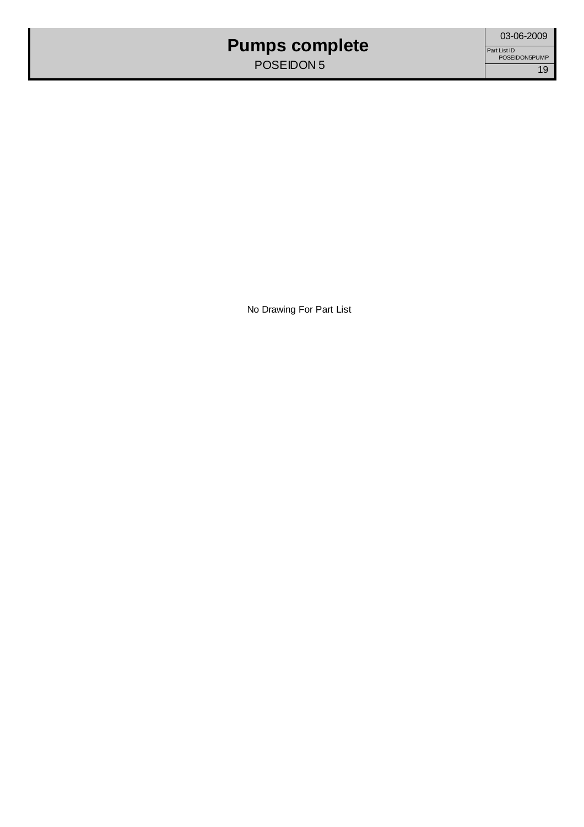### **Pumps complete**

POSEIDON 5

No Drawing For Part List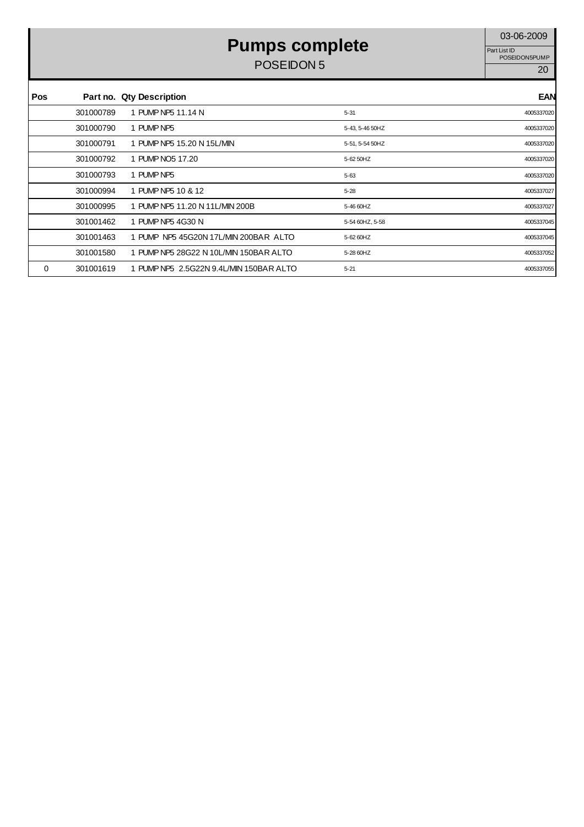## **Pumps complete** 03-06-2009

POSEIDON 5

Part List ID<br>POSEIDON5PUMP

| Pos |           | Part no. Qty Description                |                 | <b>EAN</b> |
|-----|-----------|-----------------------------------------|-----------------|------------|
|     | 301000789 | 1 PUMP NP5 11.14 N                      | $5 - 31$        | 4005337020 |
|     | 301000790 | 1 PUMP NP5                              | 5-43, 5-46 50HZ | 4005337020 |
|     | 301000791 | 1 PUMP NP5 15.20 N 15L/MIN              | 5-51, 5-54 50HZ | 4005337020 |
|     | 301000792 | 1 PUMP NO5 17.20                        | 5-62 50HZ       | 4005337020 |
|     | 301000793 | 1 PUMP NP5                              | 5-63            | 4005337020 |
|     | 301000994 | 1 PUMP NP5 10 & 12                      | $5 - 28$        | 4005337027 |
|     | 301000995 | 1 PUMP NP5 11.20 N 11L/MIN 200B         | 5-46 60HZ       | 4005337027 |
|     | 301001462 | 1 PUMP NP5 4G30 N                       | 5-54 60HZ, 5-58 | 4005337045 |
|     | 301001463 | 1 PUMP NP5 45G20N 17L/MIN 200BAR ALTO   | 5-62 60HZ       | 4005337045 |
|     | 301001580 | 1 PUMP NP5 28G22 N 10L/MIN 150BAR ALTO  | 5-28 60HZ       | 4005337052 |
| 0   | 301001619 | 1 PUMP NP5 2.5G22N 9.4L/MIN 150BAR ALTO | $5 - 21$        | 4005337055 |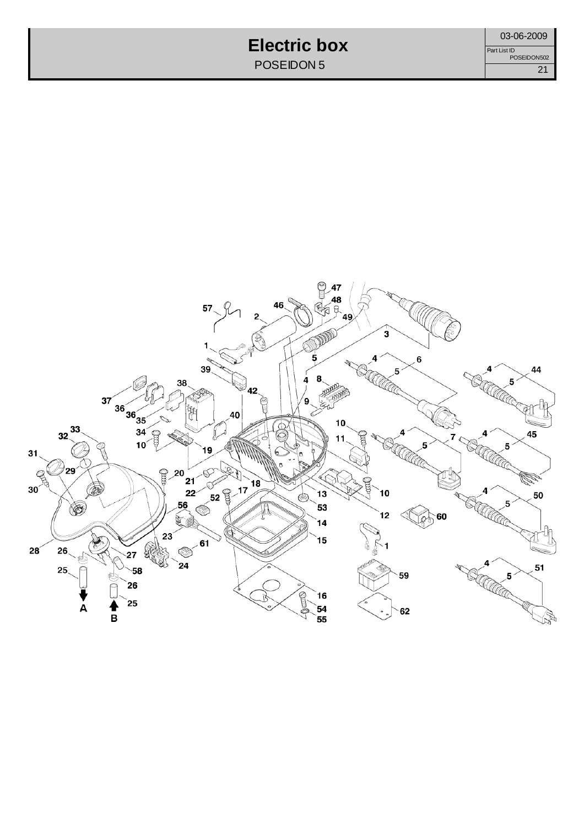#### **Electric box** POSEIDON 5

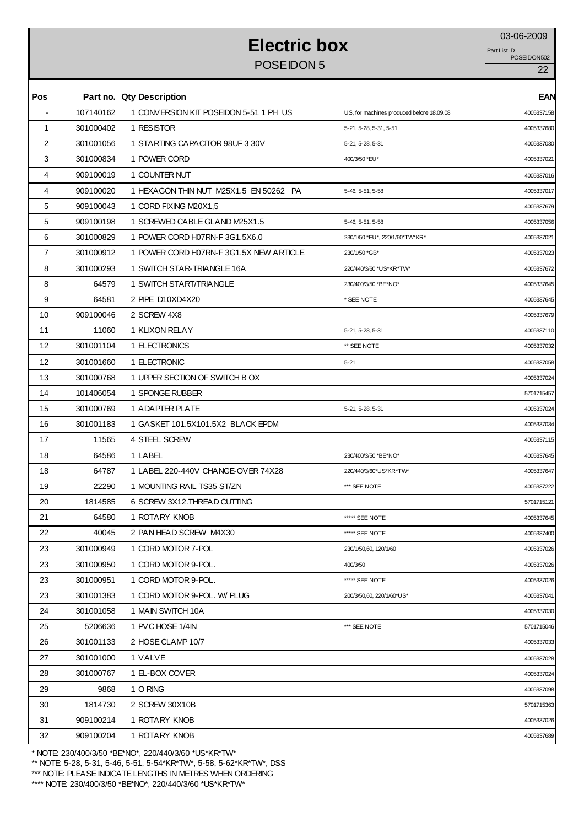# **Electric box** 03-06-2009

POSEIDON 5 22

POSEIDON502 Part List ID

| Pos            |           | Part no. Qty Description                |                                           | <b>EAN</b> |
|----------------|-----------|-----------------------------------------|-------------------------------------------|------------|
|                | 107140162 | 1 CONVERSION KIT POSEIDON 5-51 1 PH US  | US, for machines produced before 18.09.08 | 4005337158 |
| $\mathbf{1}$   | 301000402 | 1 RESISTOR                              | 5-21, 5-28, 5-31, 5-51                    | 4005337680 |
| $\overline{2}$ | 301001056 | 1 STARTING CAPACITOR 98UF 3 30V         | 5-21, 5-28, 5-31                          | 4005337030 |
| 3              | 301000834 | 1 POWER CORD                            | 400/3/50 *EU*                             | 4005337021 |
| 4              | 909100019 | 1 COUNTER NUT                           |                                           | 4005337016 |
| 4              | 909100020 | 1 HEXAGON THIN NUT M25X1.5 EN 50262 PA  | 5-46, 5-51, 5-58                          | 4005337017 |
| 5              | 909100043 | 1 CORD FIXING M20X1.5                   |                                           | 4005337679 |
| 5              | 909100198 | 1 SCREWED CABLE GLAND M25X1.5           | 5-46, 5-51, 5-58                          | 4005337056 |
| 6              | 301000829 | 1 POWER CORD H07RN-F 3G1.5X6.0          | 230/1/50 *EU*, 220/1/60*TW*KR*            | 4005337021 |
| $\overline{7}$ | 301000912 | 1 POWER CORD H07RN-F 3G1,5X NEW ARTICLE | 230/1/50 *GB*                             | 4005337023 |
| 8              | 301000293 | 1 SWITCH STAR-TRIANGLE 16A              | 220/440/3/60 *US*KR*TW*                   | 4005337672 |
| 8              | 64579     | 1 SWITCH START/TRIANGLE                 | 230/400/3/50 *BE*NO*                      | 4005337645 |
| 9              | 64581     | 2 PIPE D10XD4X20                        | * SEE NOTE                                | 4005337645 |
| 10             | 909100046 | 2 SCREW 4X8                             |                                           | 4005337679 |
| 11             | 11060     | 1 KLIXON RELAY                          | 5-21, 5-28, 5-31                          | 4005337110 |
| 12             | 301001104 | 1 ELECTRONICS                           | ** SEE NOTE                               | 4005337032 |
| 12             | 301001660 | 1 ELECTRONIC                            | $5 - 21$                                  | 4005337058 |
| 13             | 301000768 | 1 UPPER SECTION OF SWITCH B OX          |                                           | 4005337024 |
| 14             | 101406054 | 1 SPONGE RUBBER                         |                                           | 5701715457 |
| 15             | 301000769 | 1 ADAPTER PLATE                         | 5-21, 5-28, 5-31                          | 4005337024 |
| 16             | 301001183 | 1 GASKET 101.5X101.5X2 BLACK EPDM       |                                           | 4005337034 |
| 17             | 11565     | 4 STEEL SCREW                           |                                           | 4005337115 |
| 18             | 64586     | 1 LABEL                                 | 230/400/3/50 *BE*NO*                      | 4005337645 |
| 18             | 64787     | 1 LABEL 220-440V CHANGE-OVER 74X28      | 220/440/3/60*US*KR*TW*                    | 4005337647 |
| 19             | 22290     | 1 MOUNTING RAIL TS35 ST/ZN              | *** SEE NOTE                              | 4005337222 |
| 20             | 1814585   | 6 SCREW 3X12. THREAD CUTTING            |                                           | 5701715121 |
| 21             | 64580     | 1 ROTARY KNOB                           | ***** SEE NOTE                            | 4005337645 |
| 22             | 40045     | 2 PAN HEAD SCREW M4X30                  | ***** SEE NOTE                            | 4005337400 |
| 23             | 301000949 | 1 CORD MOTOR 7-POL                      | 230/1/50,60, 120/1/60                     | 4005337026 |
| 23             | 301000950 | 1 CORD MOTOR 9-POL.                     | 400/3/50                                  | 4005337026 |
| 23             | 301000951 | 1 CORD MOTOR 9-POL.                     | ***** SEE NOTE                            | 4005337026 |
| 23             | 301001383 | 1 CORD MOTOR 9-POL. W/ PLUG             | 200/3/50,60, 220/1/60*US*                 | 4005337041 |
| 24             | 301001058 | 1 MAIN SWITCH 10A                       |                                           | 4005337030 |
| 25             | 5206636   | 1 PVC HOSE 1/4IN                        | *** SEE NOTE                              | 5701715046 |
| 26             | 301001133 | 2 HOSE CLAMP 10/7                       |                                           | 4005337033 |
| 27             | 301001000 | 1 VALVE                                 |                                           | 4005337028 |
| 28             | 301000767 | 1 EL-BOX COVER                          |                                           | 4005337024 |
| 29             | 9868      | 1 O RING                                |                                           | 4005337098 |
| 30             | 1814730   | 2 SCREW 30X10B                          |                                           | 5701715363 |
| 31             | 909100214 | 1 ROTARY KNOB                           |                                           | 4005337026 |
| 32             | 909100204 | 1 ROTARY KNOB                           |                                           | 4005337689 |
|                |           |                                         |                                           |            |

\* NOTE: 230/400/3/50 \*BE\*NO\*, 220/440/3/60 \*US\*KR\*TW\*

\*\* NOTE: 5-28, 5-31, 5-46, 5-51, 5-54\*KR\*TW\*, 5-58, 5-62\*KR\*TW\*, DSS

\*\*\* NOTE: PLEASE INDICATE LENGTHS IN METRES WHEN ORDERING

\*\*\*\* NOTE: 230/400/3/50 \*BE\*NO\*, 220/440/3/60 \*US\*KR\*TW\*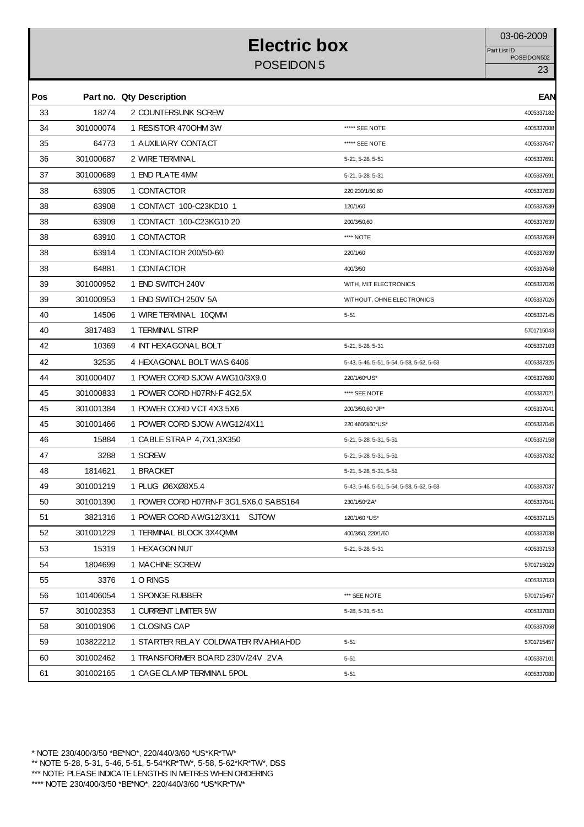# **Electric box** 03-06-2009

POSEIDON 5 23

POSEIDON502 Part List ID

| Pos |           | Part no. Qty Description               |                                          | <b>EAN</b> |
|-----|-----------|----------------------------------------|------------------------------------------|------------|
| 33  | 18274     | 2 COUNTERSUNK SCREW                    |                                          | 4005337182 |
| 34  | 301000074 | 1 RESISTOR 4700HM 3W                   | ***** SEE NOTE                           | 4005337008 |
| 35  | 64773     | 1 AUXILIARY CONTACT                    | ***** SEE NOTE                           | 4005337647 |
| 36  | 301000687 | 2 WIRE TERMINAL                        | 5-21, 5-28, 5-51                         | 4005337691 |
| 37  | 301000689 | 1 END PLATE 4MM                        | 5-21, 5-28, 5-31                         | 400533769  |
| 38  | 63905     | 1 CONTACTOR                            | 220,230/1/50,60                          | 4005337639 |
| 38  | 63908     | 1 CONTACT 100-C23KD10 1                | 120/1/60                                 | 4005337639 |
| 38  | 63909     | 1 CONTACT 100-C23KG10 20               | 200/3/50,60                              | 4005337639 |
| 38  | 63910     | 1 CONTACTOR                            | **** NOTE                                | 4005337639 |
| 38  | 63914     | 1 CONTACTOR 200/50-60                  | 220/1/60                                 | 4005337639 |
| 38  | 64881     | 1 CONTACTOR                            | 400/3/50                                 | 4005337648 |
| 39  | 301000952 | 1 END SWITCH 240V                      | WITH, MIT ELECTRONICS                    | 4005337026 |
| 39  | 301000953 | 1 END SWITCH 250V 5A                   | WITHOUT, OHNE ELECTRONICS                | 4005337026 |
| 40  | 14506     | 1 WIRE TERMINAL 10QMM                  | $5 - 51$                                 | 4005337145 |
| 40  | 3817483   | 1 TERMINAL STRIP                       |                                          | 5701715043 |
| 42  | 10369     | 4 INT HEXAGONAL BOLT                   | 5-21, 5-28, 5-31                         | 4005337103 |
| 42  | 32535     | 4 HEXAGONAL BOLT WAS 6406              | 5-43, 5-46, 5-51, 5-54, 5-58, 5-62, 5-63 | 4005337325 |
| 44  | 301000407 | 1 POWER CORD SJOW AWG10/3X9.0          | 220/1/60*US*                             | 4005337680 |
| 45  | 301000833 | 1 POWER CORD H07RN-F4G2.5X             | **** SEE NOTE                            | 4005337021 |
| 45  | 301001384 | 1 POWER CORD VCT 4X3.5X6               | 200/3/50,60 *JP*                         | 4005337041 |
| 45  | 301001466 | 1 POWER CORD SJOW AWG12/4X11           | 220,460/3/60*US*                         | 4005337045 |
| 46  | 15884     | 1 CABLE STRAP 4,7X1,3X350              | 5-21, 5-28, 5-31, 5-51                   | 4005337158 |
| 47  | 3288      | 1 SCREW                                | 5-21, 5-28, 5-31, 5-51                   | 4005337032 |
| 48  | 1814621   | 1 BRACKET                              | 5-21, 5-28, 5-31, 5-51                   |            |
| 49  | 301001219 | 1 PLUG Ø6XØ8X5.4                       | 5-43, 5-46, 5-51, 5-54, 5-58, 5-62, 5-63 | 4005337037 |
| 50  | 301001390 | 1 POWER CORD H07RN-F 3G1.5X6.0 SABS164 | 230/1/50*ZA*                             | 4005337041 |
| 51  | 3821316   | 1 POWER CORD AWG12/3X11 SJTOW          | 120/1/60 *US*                            | 4005337115 |
| 52  | 301001229 | 1 TERMINAL BLOCK 3X4QMM                | 400/3/50, 220/1/60                       | 4005337038 |
| 53  | 15319     | 1 HEXAGON NUT                          | 5-21, 5-28, 5-31                         | 4005337153 |
| 54  | 1804699   | 1 MACHINE SCREW                        |                                          | 5701715029 |
| 55  | 3376      | 1 O RINGS                              |                                          | 4005337033 |
| 56  | 101406054 | 1 SPONGE RUBBER                        | *** SEE NOTE                             | 5701715457 |
| 57  | 301002353 | 1 CURRENT LIMITER 5W                   | 5-28, 5-31, 5-51                         | 4005337083 |
| 58  | 301001906 | 1 CLOSING CAP                          |                                          | 4005337068 |
| 59  | 103822212 | 1 STARTER RELAY COLDWATER RVAH4AH0D    | $5 - 51$                                 | 5701715457 |
| 60  | 301002462 | 1 TRANSFORMER BOARD 230V/24V 2VA       | $5 - 51$                                 | 4005337101 |
| 61  | 301002165 | 1 CAGE CLAMP TERMINAL 5POL             | $5 - 51$                                 | 4005337080 |
|     |           |                                        |                                          |            |

\* NOTE: 230/400/3/50 \*BE\*NO\*, 220/440/3/60 \*US\*KR\*TW\*

\*\* NOTE: 5-28, 5-31, 5-46, 5-51, 5-54\*KR\*TW\*, 5-58, 5-62\*KR\*TW\*, DSS

\*\*\* NOTE: PLEASE INDICATE LENGTHS IN METRES WHEN ORDERING

\*\*\*\* NOTE: 230/400/3/50 \*BE\*NO\*, 220/440/3/60 \*US\*KR\*TW\*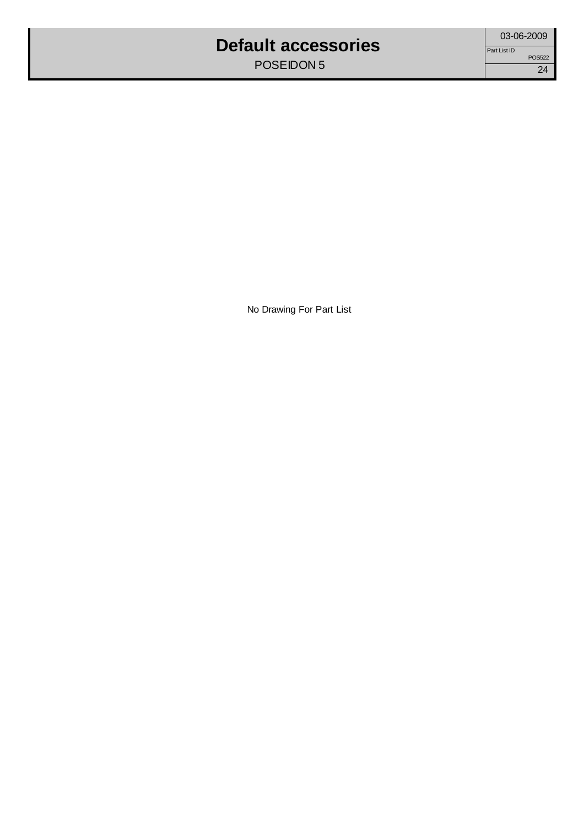#### **Default accessories**

POSEIDON 5

No Drawing For Part List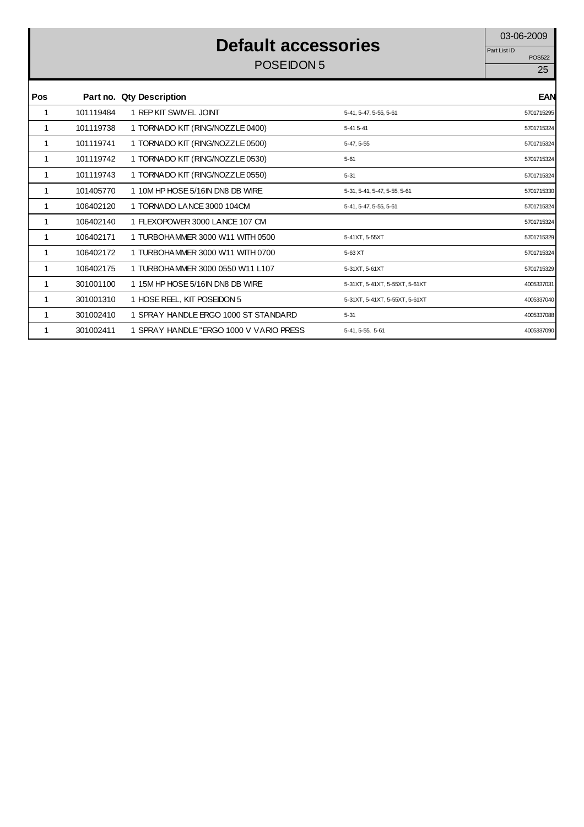#### **Default accessories**

POSEIDON 5 25

POS522 Part List ID

| <b>Pos</b> |           | Part no. Qty Description                 |                                | <b>EAN</b> |
|------------|-----------|------------------------------------------|--------------------------------|------------|
| 1          | 101119484 | 1 REP KIT SWIVEL JOINT                   | 5-41, 5-47, 5-55, 5-61         | 5701715295 |
| 1          | 101119738 | 1 TORNADO KIT (RING/NOZZLE 0400)         | 5-41 5-41                      | 5701715324 |
| 1          | 101119741 | 1 TORNADO KIT (RING/NOZZLE 0500)         | 5-47, 5-55                     | 5701715324 |
| 1          | 101119742 | 1 TORNADO KIT (RING/NOZZLE 0530)         | $5 - 61$                       | 5701715324 |
| 1          | 101119743 | 1 TORNADO KIT (RING/NOZZLE 0550)         | $5 - 31$                       | 5701715324 |
| 1          | 101405770 | 1 10M HP HOSE 5/16IN DN8 DB WIRE         | 5-31, 5-41, 5-47, 5-55, 5-61   | 5701715330 |
| 1          | 106402120 | 1 TORNADO LANCE 3000 104CM               | 5-41, 5-47, 5-55, 5-61         | 5701715324 |
| 1          | 106402140 | 1 FLEXOPOWER 3000 LANCE 107 CM           |                                | 5701715324 |
|            | 106402171 | 1 TURBOHAMMER 3000 W11 WITH 0500         | 5-41XT, 5-55XT                 | 5701715329 |
| 1          | 106402172 | 1 TURBOHAMMER 3000 W11 WITH 0700         | 5-63 XT                        | 5701715324 |
| 1          | 106402175 | 1 TURBOHAMMER 3000 0550 W11 L107         | 5-31XT, 5-61XT                 | 5701715329 |
| 1          | 301001100 | 1 15M HP HOSE 5/16IN DN8 DB WIRE         | 5-31XT, 5-41XT, 5-55XT, 5-61XT | 4005337031 |
|            | 301001310 | 1 HOSE REEL, KIT POSEIDON 5              | 5-31XT, 5-41XT, 5-55XT, 5-61XT | 4005337040 |
| 1          | 301002410 | 1 SPRAY HANDLE ERGO 1000 ST STANDARD     | $5 - 31$                       | 4005337088 |
|            | 301002411 | 1 SPRAY HANDLE "ERGO 1000 V VARIO PRESS" | 5-41, 5-55, 5-61               | 4005337090 |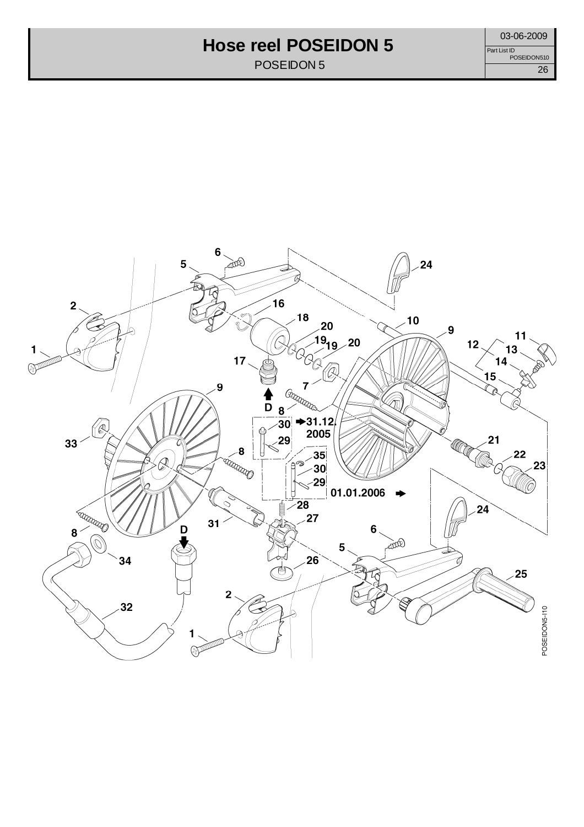#### **Hose reel POSEIDON 5**

POSEIDON 5

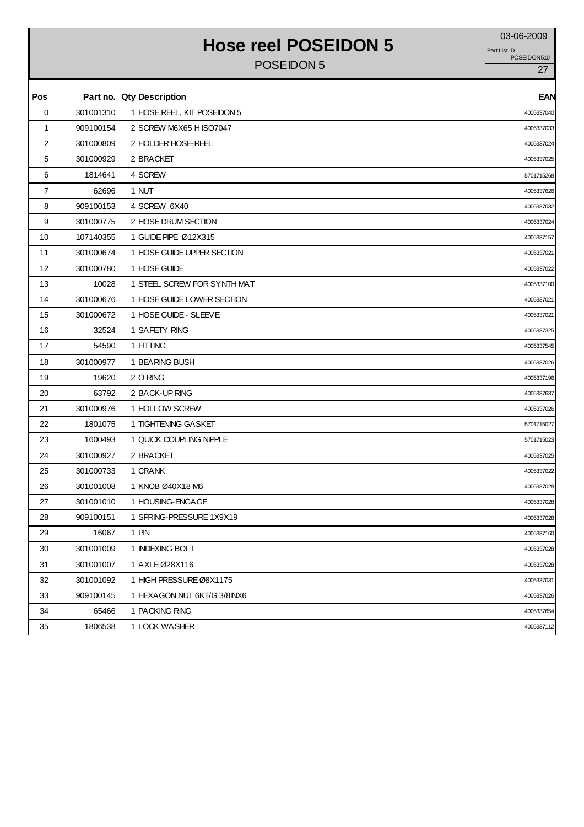### Hose reel POSEIDON 5

POSEIDON 5 27

Part List ID<br>POSEIDON510

| Pos         |           | Part no. Qty Description    | <b>EAN</b> |
|-------------|-----------|-----------------------------|------------|
| $\mathbf 0$ | 301001310 | 1 HOSE REEL, KIT POSEIDON 5 | 4005337040 |
| $\mathbf 1$ | 909100154 | 2 SCREW M6X65 H ISO7047     | 4005337033 |
| 2           | 301000809 | 2 HOLDER HOSE-REEL          | 4005337024 |
| 5           | 301000929 | 2 BRACKET                   | 4005337025 |
| 6           | 1814641   | 4 SCREW                     | 5701715268 |
| 7           | 62696     | 1 NUT                       | 4005337626 |
| 8           | 909100153 | 4 SCREW 6X40                | 4005337032 |
| 9           | 301000775 | 2 HOSE DRUM SECTION         | 4005337024 |
| 10          | 107140355 | 1 GUIDE PIPE Ø12X315        | 4005337157 |
| 11          | 301000674 | 1 HOSE GUIDE UPPER SECTION  | 4005337021 |
| 12          | 301000780 | 1 HOSE GUIDE                | 4005337022 |
| 13          | 10028     | 1 STEEL SCREW FOR SYNTH MAT | 4005337100 |
| 14          | 301000676 | 1 HOSE GUIDE LOWER SECTION  | 4005337021 |
| 15          | 301000672 | 1 HOSE GUIDE - SLEEVE       | 4005337021 |
| 16          | 32524     | 1 SAFETY RING               | 4005337325 |
| 17          | 54590     | 1 FITTING                   | 4005337545 |
| 18          | 301000977 | 1 BEARING BUSH              | 4005337026 |
| 19          | 19620     | 2 O RING                    | 4005337196 |
| 20          | 63792     | 2 BACK-UP RING              | 4005337637 |
| 21          | 301000976 | 1 HOLLOW SCREW              | 4005337026 |
| 22          | 1801075   | 1 TIGHTENING GASKET         | 5701715027 |
| 23          | 1600493   | 1 QUICK COUPLING NIPPLE     | 5701715023 |
| 24          | 301000927 | 2 BRACKET                   | 4005337025 |
| 25          | 301000733 | 1 CRANK                     | 4005337022 |
| 26          | 301001008 | 1 KNOB Ø40X18 M6            | 4005337028 |
| 27          | 301001010 | 1 HOUSING-ENGAGE            | 4005337028 |
| 28          | 909100151 | 1 SPRING-PRESSURE 1X9X19    | 4005337028 |
| 29          | 16067     | 1 PIN                       | 4005337160 |
| 30          | 301001009 | 1 INDEXING BOLT             | 4005337028 |
| 31          | 301001007 | 1 AXLE Ø28X116              | 4005337028 |
| 32          | 301001092 | 1 HIGH PRESSURE Ø8X1175     | 4005337031 |
| 33          | 909100145 | 1 HEXAGON NUT 6KT/G 3/8INX6 | 4005337026 |
| 34          | 65466     | 1 PACKING RING              | 4005337654 |
| 35          | 1806538   | 1 LOCK WASHER               | 4005337112 |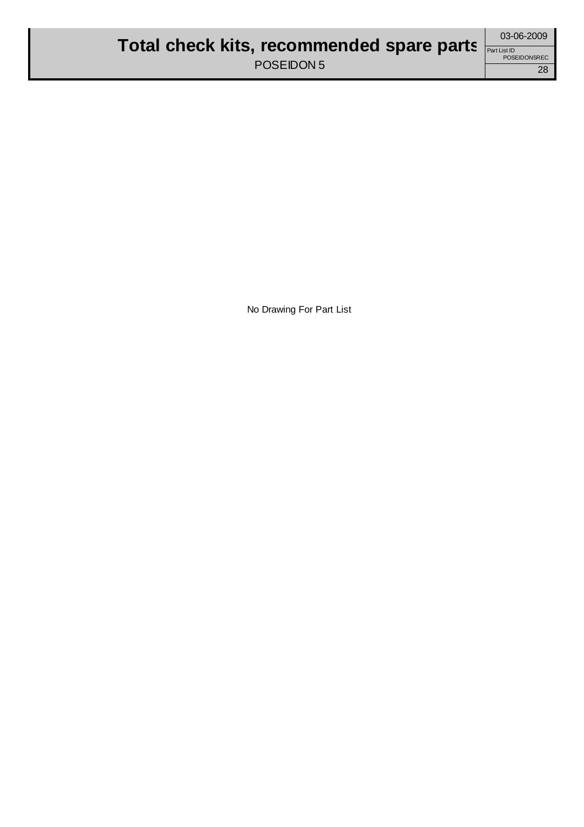No Drawing For Part List